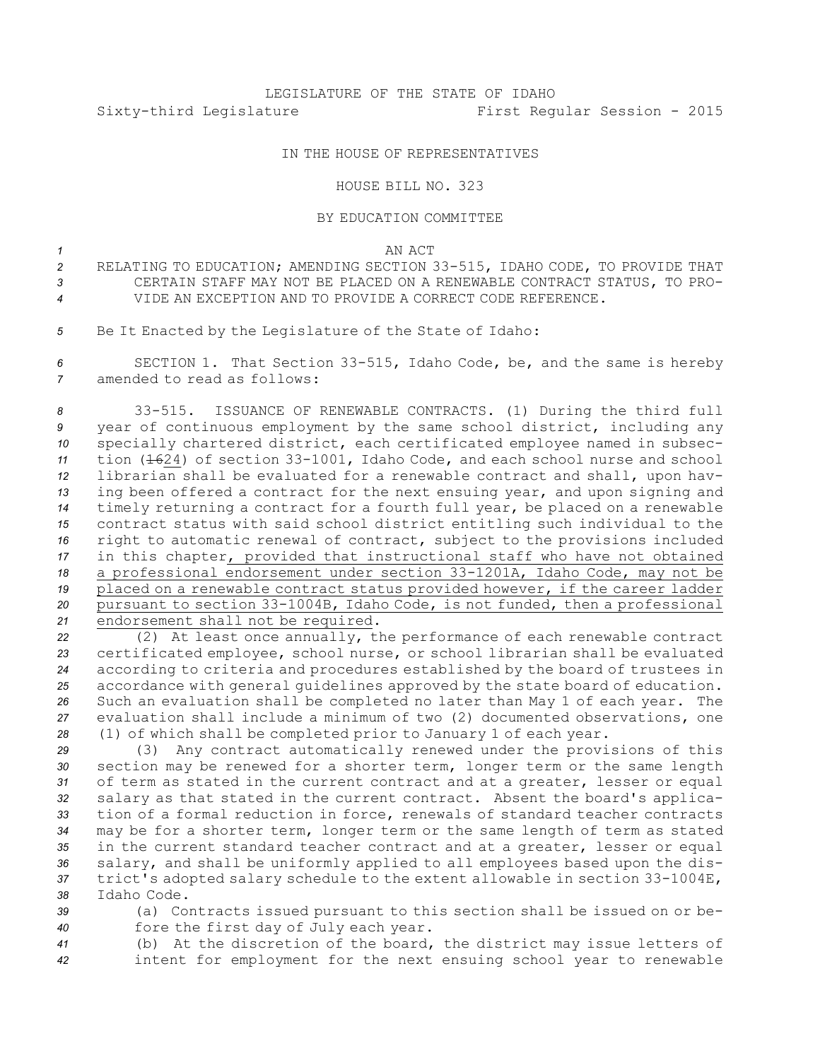## IN THE HOUSE OF REPRESENTATIVES

## HOUSE BILL NO. 323

## BY EDUCATION COMMITTEE

*1* AN ACT

- *<sup>2</sup>* RELATING TO EDUCATION; AMENDING SECTION 33-515, IDAHO CODE, TO PROVIDE THAT *3* CERTAIN STAFF MAY NOT BE PLACED ON A RENEWABLE CONTRACT STATUS, TO PRO-*4* VIDE AN EXCEPTION AND TO PROVIDE A CORRECT CODE REFERENCE.
- *<sup>5</sup>* Be It Enacted by the Legislature of the State of Idaho:

*<sup>6</sup>* SECTION 1. That Section 33-515, Idaho Code, be, and the same is hereby *7* amended to read as follows:

 33-515. ISSUANCE OF RENEWABLE CONTRACTS. (1) During the third full year of continuous employment by the same school district, including any specially chartered district, each certificated employee named in subsec- tion (1624) of section 33-1001, Idaho Code, and each school nurse and school librarian shall be evaluated for <sup>a</sup> renewable contract and shall, upon hav- ing been offered <sup>a</sup> contract for the next ensuing year, and upon signing and timely returning <sup>a</sup> contract for <sup>a</sup> fourth full year, be placed on <sup>a</sup> renewable contract status with said school district entitling such individual to the right to automatic renewal of contract, subject to the provisions included in this chapter, provided that instructional staff who have not obtained <sup>a</sup> professional endorsement under section 33-1201A, Idaho Code, may not be placed on <sup>a</sup> renewable contract status provided however, if the career ladder pursuant to section 33-1004B, Idaho Code, is not funded, then <sup>a</sup> professional endorsement shall not be required.

 (2) At least once annually, the performance of each renewable contract certificated employee, school nurse, or school librarian shall be evaluated according to criteria and procedures established by the board of trustees in accordance with general guidelines approved by the state board of education. Such an evaluation shall be completed no later than May 1 of each year. The evaluation shall include <sup>a</sup> minimum of two (2) documented observations, one (1) of which shall be completed prior to January 1 of each year.

 (3) Any contract automatically renewed under the provisions of this section may be renewed for <sup>a</sup> shorter term, longer term or the same length of term as stated in the current contract and at <sup>a</sup> greater, lesser or equal salary as that stated in the current contract. Absent the board's applica- tion of <sup>a</sup> formal reduction in force, renewals of standard teacher contracts may be for <sup>a</sup> shorter term, longer term or the same length of term as stated in the current standard teacher contract and at <sup>a</sup> greater, lesser or equal salary, and shall be uniformly applied to all employees based upon the dis- trict's adopted salary schedule to the extent allowable in section 33-1004E, Idaho Code.

*<sup>39</sup>* (a) Contracts issued pursuant to this section shall be issued on or be-*<sup>40</sup>* fore the first day of July each year.

*<sup>41</sup>* (b) At the discretion of the board, the district may issue letters of *<sup>42</sup>* intent for employment for the next ensuing school year to renewable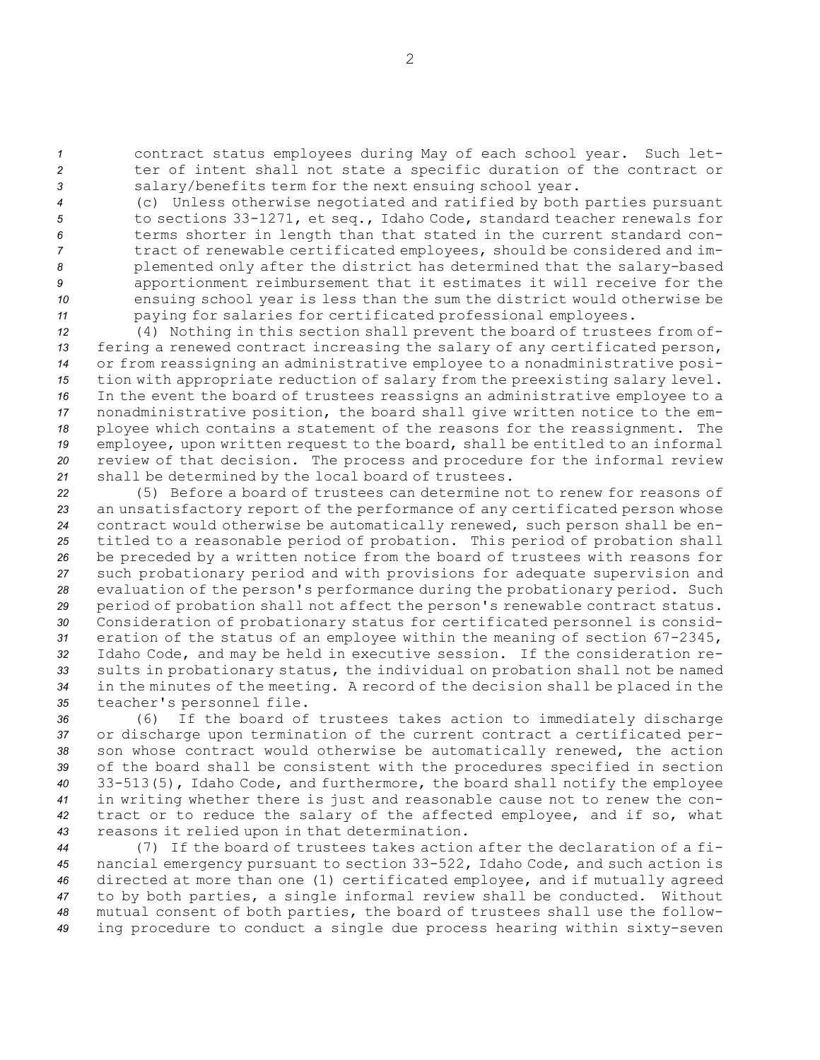*<sup>1</sup>* contract status employees during May of each school year. Such let-*<sup>2</sup>* ter of intent shall not state <sup>a</sup> specific duration of the contract or *<sup>3</sup>* salary/benefits term for the next ensuing school year.

 (c) Unless otherwise negotiated and ratified by both parties pursuant to sections 33-1271, et seq., Idaho Code, standard teacher renewals for terms shorter in length than that stated in the current standard con- tract of renewable certificated employees, should be considered and im- plemented only after the district has determined that the salary-based apportionment reimbursement that it estimates it will receive for the ensuing school year is less than the sum the district would otherwise be paying for salaries for certificated professional employees.

 (4) Nothing in this section shall prevent the board of trustees from of- fering <sup>a</sup> renewed contract increasing the salary of any certificated person, or from reassigning an administrative employee to <sup>a</sup> nonadministrative posi- tion with appropriate reduction of salary from the preexisting salary level. In the event the board of trustees reassigns an administrative employee to <sup>a</sup> nonadministrative position, the board shall give written notice to the em- ployee which contains <sup>a</sup> statement of the reasons for the reassignment. The employee, upon written request to the board, shall be entitled to an informal review of that decision. The process and procedure for the informal review shall be determined by the local board of trustees.

 (5) Before <sup>a</sup> board of trustees can determine not to renew for reasons of an unsatisfactory report of the performance of any certificated person whose contract would otherwise be automatically renewed, such person shall be en- titled to <sup>a</sup> reasonable period of probation. This period of probation shall be preceded by <sup>a</sup> written notice from the board of trustees with reasons for such probationary period and with provisions for adequate supervision and evaluation of the person's performance during the probationary period. Such period of probation shall not affect the person's renewable contract status. Consideration of probationary status for certificated personnel is consid- eration of the status of an employee within the meaning of section 67-2345, Idaho Code, and may be held in executive session. If the consideration re- sults in probationary status, the individual on probation shall not be named in the minutes of the meeting. <sup>A</sup> record of the decision shall be placed in the teacher's personnel file.

 (6) If the board of trustees takes action to immediately discharge or discharge upon termination of the current contract <sup>a</sup> certificated per- son whose contract would otherwise be automatically renewed, the action of the board shall be consistent with the procedures specified in section 33-513(5), Idaho Code, and furthermore, the board shall notify the employee in writing whether there is just and reasonable cause not to renew the con- tract or to reduce the salary of the affected employee, and if so, what reasons it relied upon in that determination.

 (7) If the board of trustees takes action after the declaration of <sup>a</sup> fi- nancial emergency pursuant to section 33-522, Idaho Code, and such action is directed at more than one (1) certificated employee, and if mutually agreed to by both parties, <sup>a</sup> single informal review shall be conducted. Without mutual consent of both parties, the board of trustees shall use the follow-ing procedure to conduct <sup>a</sup> single due process hearing within sixty-seven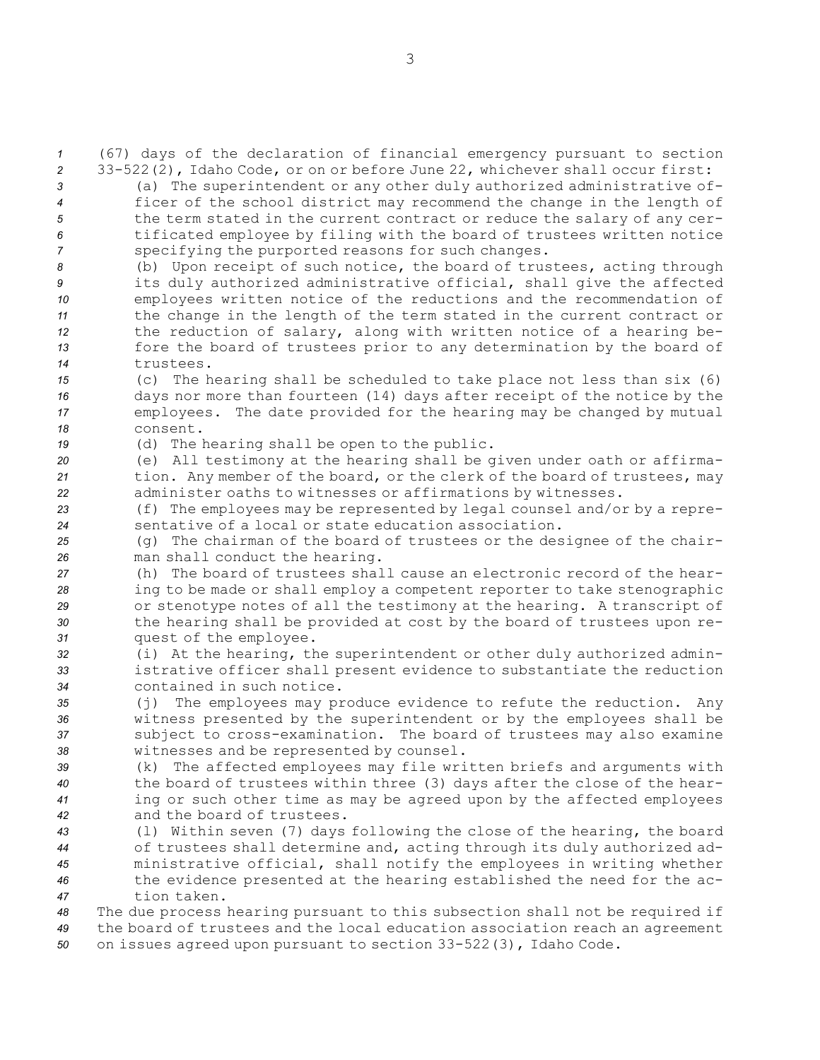*<sup>1</sup>* (67) days of the declaration of financial emergency pursuant to section *<sup>2</sup>* 33-522(2), Idaho Code, or on or before June 22, whichever shall occur first: *<sup>3</sup>* (a) The superintendent or any other duly authorized administrative of-

- *<sup>4</sup>* ficer of the school district may recommend the change in the length of *<sup>5</sup>* the term stated in the current contract or reduce the salary of any cer-*<sup>6</sup>* tificated employee by filing with the board of trustees written notice *<sup>7</sup>* specifying the purported reasons for such changes.
- *<sup>8</sup>* (b) Upon receipt of such notice, the board of trustees, acting through *<sup>9</sup>* its duly authorized administrative official, shall give the affected *<sup>10</sup>* employees written notice of the reductions and the recommendation of *<sup>11</sup>* the change in the length of the term stated in the current contract or *<sup>12</sup>* the reduction of salary, along with written notice of <sup>a</sup> hearing be-*<sup>13</sup>* fore the board of trustees prior to any determination by the board of *14* trustees.
- *<sup>15</sup>* (c) The hearing shall be scheduled to take place not less than six (6) *<sup>16</sup>* days nor more than fourteen (14) days after receipt of the notice by the *<sup>17</sup>* employees. The date provided for the hearing may be changed by mutual *18* consent.
- *<sup>19</sup>* (d) The hearing shall be open to the public.
- *<sup>20</sup>* (e) All testimony at the hearing shall be given under oath or affirma-*<sup>21</sup>* tion. Any member of the board, or the clerk of the board of trustees, may *<sup>22</sup>* administer oaths to witnesses or affirmations by witnesses.
- *<sup>23</sup>* (f) The employees may be represented by legal counsel and/or by <sup>a</sup> repre-*24* sentative of <sup>a</sup> local or state education association.
- *<sup>25</sup>* (g) The chairman of the board of trustees or the designee of the chair-*<sup>26</sup>* man shall conduct the hearing.
- *<sup>27</sup>* (h) The board of trustees shall cause an electronic record of the hear-*<sup>28</sup>* ing to be made or shall employ <sup>a</sup> competent reporter to take stenographic *<sup>29</sup>* or stenotype notes of all the testimony at the hearing. <sup>A</sup> transcript of *<sup>30</sup>* the hearing shall be provided at cost by the board of trustees upon re-*<sup>31</sup>* quest of the employee.
- *<sup>32</sup>* (i) At the hearing, the superintendent or other duly authorized admin-*<sup>33</sup>* istrative officer shall present evidence to substantiate the reduction *34* contained in such notice.
- *<sup>35</sup>* (j) The employees may produce evidence to refute the reduction. Any *<sup>36</sup>* witness presented by the superintendent or by the employees shall be *<sup>37</sup>* subject to cross-examination. The board of trustees may also examine *<sup>38</sup>* witnesses and be represented by counsel.
- *<sup>39</sup>* (k) The affected employees may file written briefs and arguments with *<sup>40</sup>* the board of trustees within three (3) days after the close of the hear-*<sup>41</sup>* ing or such other time as may be agreed upon by the affected employees *42* and the board of trustees.
- *<sup>43</sup>* (l) Within seven (7) days following the close of the hearing, the board *<sup>44</sup>* of trustees shall determine and, acting through its duly authorized ad-*<sup>45</sup>* ministrative official, shall notify the employees in writing whether *<sup>46</sup>* the evidence presented at the hearing established the need for the ac-*47* tion taken.
- *<sup>48</sup>* The due process hearing pursuant to this subsection shall not be required if *<sup>49</sup>* the board of trustees and the local education association reach an agreement *<sup>50</sup>* on issues agreed upon pursuant to section 33-522(3), Idaho Code.